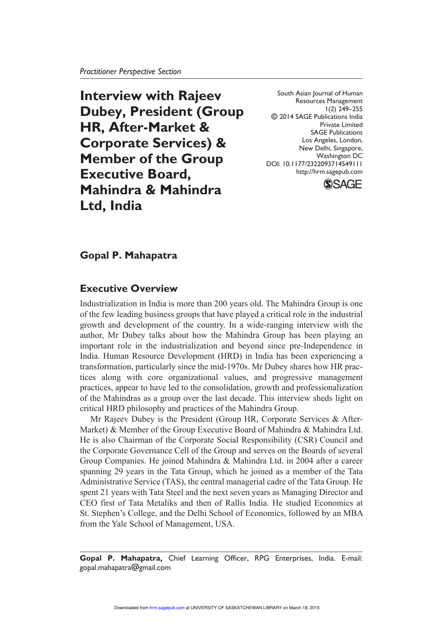**Interview with Rajeev Dubey, President (Group HR, After-Market & Corporate Services) & Member of the Group Executive Board, Mahindra & Mahindra Ltd, India**

South Asian Journal of Human Resources Management 1(2) 249–255 2014 SAGE Publications India Private Limited SAGE Publications Los Angeles, London, New Delhi, Singapore, Washington DC DOI: 10.1177/2322093714549111 http://hrm.sagepub.com



# **Gopal P. Mahapatra**

# **Executive Overview**

Industrialization in India is more than 200 years old. The Mahindra Group is one of the few leading business groups that have played a critical role in the industrial growth and development of the country. In a wide-ranging interview with the author, Mr Dubey talks about how the Mahindra Group has been playing an important role in the industrialization and beyond since pre-Independence in India. Human Resource Development (HRD) in India has been experiencing a transformation, particularly since the mid-1970s. Mr Dubey shares how HR practices along with core organizational values, and progressive management practices, appear to have led to the consolidation, growth and professionalization of the Mahindras as a group over the last decade. This interview sheds light on critical HRD philosophy and practices of the Mahindra Group.

Mr Rajeev Dubey is the President (Group HR, Corporate Services & After-Market) & Member of the Group Executive Board of Mahindra & Mahindra Ltd. He is also Chairman of the Corporate Social Responsibility (CSR) Council and the Corporate Governance Cell of the Group and serves on the Boards of several Group Companies. He joined Mahindra & Mahindra Ltd. in 2004 after a career spanning 29 years in the Tata Group, which he joined as a member of the Tata Administrative Service (TAS), the central managerial cadre of the Tata Group. He spent 21 years with Tata Steel and the next seven years as Managing Director and CEO first of Tata Metaliks and then of Rallis India. He studied Economics at St. Stephen's College, and the Delhi School of Economics, followed by an MBA from the Yale School of Management, USA.

Gopal P. Mahapatra, Chief Learning Officer, RPG Enterprises, India. E-mail: gopal.mahapatra@gmail.com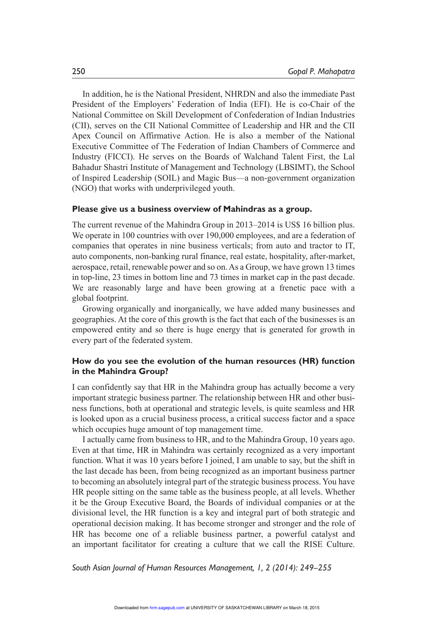In addition, he is the National President, NHRDN and also the immediate Past President of the Employers' Federation of India (EFI). He is co-Chair of the National Committee on Skill Development of Confederation of Indian Industries (CII), serves on the CII National Committee of Leadership and HR and the CII Apex Council on Affirmative Action. He is also a member of the National Executive Committee of The Federation of Indian Chambers of Commerce and Industry (FICCI). He serves on the Boards of Walchand Talent First, the Lal Bahadur Shastri Institute of Management and Technology (LBSIMT), the School of Inspired Leadership (SOIL) and Magic Bus—a non-government organization (NGO) that works with underprivileged youth.

#### **Please give us a business overview of Mahindras as a group.**

The current revenue of the Mahindra Group in 2013–2014 is US\$ 16 billion plus. We operate in 100 countries with over 190,000 employees, and are a federation of companies that operates in nine business verticals; from auto and tractor to IT, auto components, non-banking rural finance, real estate, hospitality, after-market, aerospace, retail, renewable power and so on. As a Group, we have grown 13 times in top-line, 23 times in bottom line and 73 times in market cap in the past decade. We are reasonably large and have been growing at a frenetic pace with a global footprint.

Growing organically and inorganically, we have added many businesses and geographies. At the core of this growth is the fact that each of the businesses is an empowered entity and so there is huge energy that is generated for growth in every part of the federated system.

#### **How do you see the evolution of the human resources (HR) function in the Mahindra Group?**

I can confidently say that HR in the Mahindra group has actually become a very important strategic business partner. The relationship between HR and other business functions, both at operational and strategic levels, is quite seamless and HR is looked upon as a crucial business process, a critical success factor and a space which occupies huge amount of top management time.

I actually came from business to HR, and to the Mahindra Group, 10 years ago. Even at that time, HR in Mahindra was certainly recognized as a very important function. What it was 10 years before I joined, I am unable to say, but the shift in the last decade has been, from being recognized as an important business partner to becoming an absolutely integral part of the strategic business process. You have HR people sitting on the same table as the business people, at all levels. Whether it be the Group Executive Board, the Boards of individual companies or at the divisional level, the HR function is a key and integral part of both strategic and operational decision making. It has become stronger and stronger and the role of HR has become one of a reliable business partner, a powerful catalyst and an important facilitator for creating a culture that we call the RISE Culture.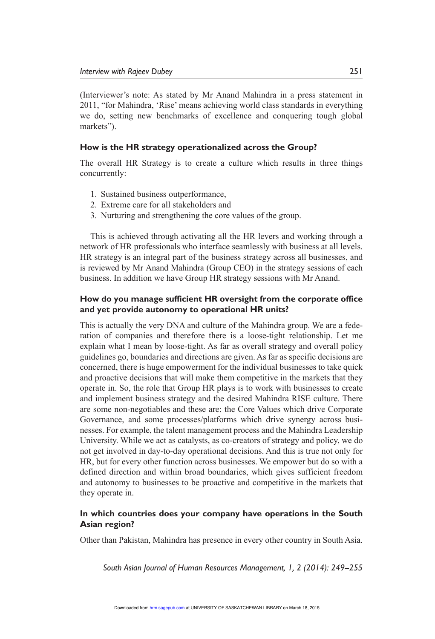(Interviewer's note: As stated by Mr Anand Mahindra in a press statement in 2011, "for Mahindra, 'Rise' means achieving world class standards in everything we do, setting new benchmarks of excellence and conquering tough global markets").

### **How is the HR strategy operationalized across the Group?**

The overall HR Strategy is to create a culture which results in three things concurrently:

- 1. Sustained business outperformance,
- 2. Extreme care for all stakeholders and
- 3. Nurturing and strengthening the core values of the group.

This is achieved through activating all the HR levers and working through a network of HR professionals who interface seamlessly with business at all levels. HR strategy is an integral part of the business strategy across all businesses, and is reviewed by Mr Anand Mahindra (Group CEO) in the strategy sessions of each business. In addition we have Group HR strategy sessions with Mr Anand.

### **How do you manage sufficient HR oversight from the corporate office and yet provide autonomy to operational HR units?**

This is actually the very DNA and culture of the Mahindra group. We are a federation of companies and therefore there is a loose-tight relationship. Let me explain what I mean by loose-tight. As far as overall strategy and overall policy guidelines go, boundaries and directions are given. As far as specific decisions are concerned, there is huge empowerment for the individual businesses to take quick and proactive decisions that will make them competitive in the markets that they operate in. So, the role that Group HR plays is to work with businesses to create and implement business strategy and the desired Mahindra RISE culture. There are some non-negotiables and these are: the Core Values which drive Corporate Governance, and some processes/platforms which drive synergy across businesses. For example, the talent management process and the Mahindra Leadership University. While we act as catalysts, as co-creators of strategy and policy, we do not get involved in day-to-day operational decisions. And this is true not only for HR, but for every other function across businesses. We empower but do so with a defined direction and within broad boundaries, which gives sufficient freedom and autonomy to businesses to be proactive and competitive in the markets that they operate in.

## **In which countries does your company have operations in the South Asian region?**

Other than Pakistan, Mahindra has presence in every other country in South Asia.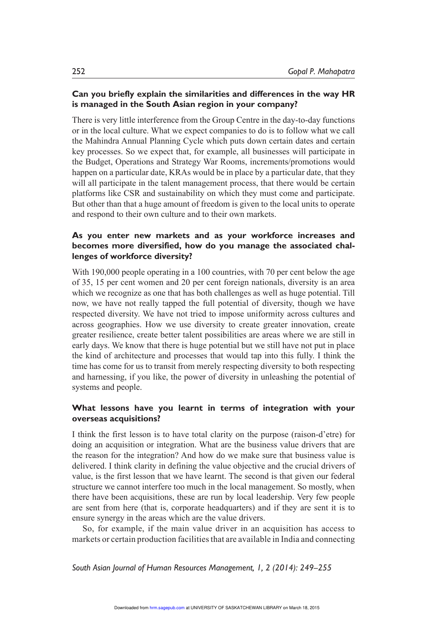### **Can you briefly explain the similarities and differences in the way HR is managed in the South Asian region in your company?**

There is very little interference from the Group Centre in the day-to-day functions or in the local culture. What we expect companies to do is to follow what we call the Mahindra Annual Planning Cycle which puts down certain dates and certain key processes. So we expect that, for example, all businesses will participate in the Budget, Operations and Strategy War Rooms, increments/promotions would happen on a particular date, KRAs would be in place by a particular date, that they will all participate in the talent management process, that there would be certain platforms like CSR and sustainability on which they must come and participate. But other than that a huge amount of freedom is given to the local units to operate and respond to their own culture and to their own markets.

## **As you enter new markets and as your workforce increases and becomes more diversified, how do you manage the associated challenges of workforce diversity?**

With 190,000 people operating in a 100 countries, with 70 per cent below the age of 35, 15 per cent women and 20 per cent foreign nationals, diversity is an area which we recognize as one that has both challenges as well as huge potential. Till now, we have not really tapped the full potential of diversity, though we have respected diversity. We have not tried to impose uniformity across cultures and across geographies. How we use diversity to create greater innovation, create greater resilience, create better talent possibilities are areas where we are still in early days. We know that there is huge potential but we still have not put in place the kind of architecture and processes that would tap into this fully. I think the time has come for us to transit from merely respecting diversity to both respecting and harnessing, if you like, the power of diversity in unleashing the potential of systems and people.

### **What lessons have you learnt in terms of integration with your overseas acquisitions?**

I think the first lesson is to have total clarity on the purpose (raison-d'etre) for doing an acquisition or integration. What are the business value drivers that are the reason for the integration? And how do we make sure that business value is delivered. I think clarity in defining the value objective and the crucial drivers of value, is the first lesson that we have learnt. The second is that given our federal structure we cannot interfere too much in the local management. So mostly, when there have been acquisitions, these are run by local leadership. Very few people are sent from here (that is, corporate headquarters) and if they are sent it is to ensure synergy in the areas which are the value drivers.

So, for example, if the main value driver in an acquisition has access to markets or certain production facilities that are available in India and connecting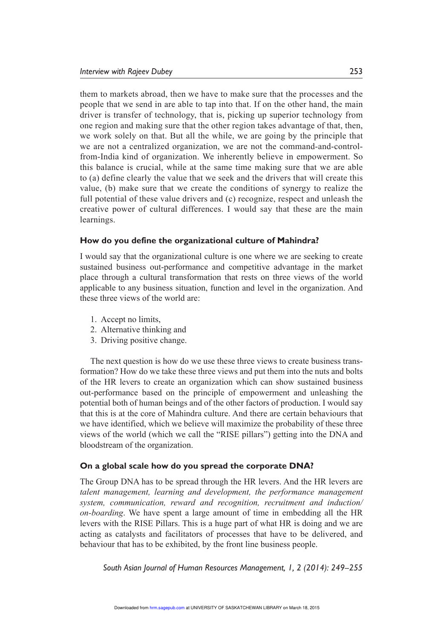them to markets abroad, then we have to make sure that the processes and the people that we send in are able to tap into that. If on the other hand, the main driver is transfer of technology, that is, picking up superior technology from one region and making sure that the other region takes advantage of that, then, we work solely on that. But all the while, we are going by the principle that we are not a centralized organization, we are not the command-and-controlfrom-India kind of organization. We inherently believe in empowerment. So this balance is crucial, while at the same time making sure that we are able to (a) define clearly the value that we seek and the drivers that will create this value, (b) make sure that we create the conditions of synergy to realize the full potential of these value drivers and (c) recognize, respect and unleash the creative power of cultural differences. I would say that these are the main learnings.

### **How do you define the organizational culture of Mahindra?**

I would say that the organizational culture is one where we are seeking to create sustained business out-performance and competitive advantage in the market place through a cultural transformation that rests on three views of the world applicable to any business situation, function and level in the organization. And these three views of the world are:

- 1. Accept no limits,
- 2. Alternative thinking and
- 3. Driving positive change.

The next question is how do we use these three views to create business transformation? How do we take these three views and put them into the nuts and bolts of the HR levers to create an organization which can show sustained business out-performance based on the principle of empowerment and unleashing the potential both of human beings and of the other factors of production. I would say that this is at the core of Mahindra culture. And there are certain behaviours that we have identified, which we believe will maximize the probability of these three views of the world (which we call the "RISE pillars") getting into the DNA and bloodstream of the organization.

### **On a global scale how do you spread the corporate DNA?**

The Group DNA has to be spread through the HR levers. And the HR levers are *talent management, learning and development, the performance management system, communication, reward and recognition, recruitment and induction/ on-boarding*. We have spent a large amount of time in embedding all the HR levers with the RISE Pillars. This is a huge part of what HR is doing and we are acting as catalysts and facilitators of processes that have to be delivered, and behaviour that has to be exhibited, by the front line business people.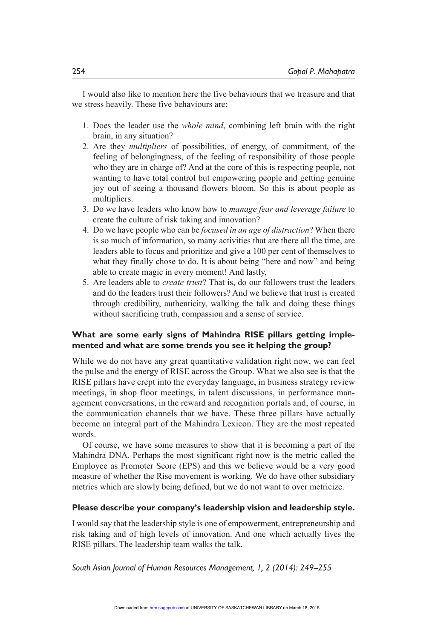I would also like to mention here the five behaviours that we treasure and that we stress heavily. These five behaviours are:

- 1. Does the leader use the *whole mind*, combining left brain with the right brain, in any situation?
- 2. Are they *multipliers* of possibilities, of energy, of commitment, of the feeling of belongingness, of the feeling of responsibility of those people who they are in charge of? And at the core of this is respecting people, not wanting to have total control but empowering people and getting genuine joy out of seeing a thousand flowers bloom. So this is about people as multipliers.
- 3. Do we have leaders who know how to *manage fear and leverage failure* to create the culture of risk taking and innovation?
- 4. Do we have people who can be *focused in an age of distraction*? When there is so much of information, so many activities that are there all the time, are leaders able to focus and prioritize and give a 100 per cent of themselves to what they finally chose to do. It is about being "here and now" and being able to create magic in every moment! And lastly,
- 5. Are leaders able to *create trust*? That is, do our followers trust the leaders and do the leaders trust their followers? And we believe that trust is created through credibility, authenticity, walking the talk and doing these things without sacrificing truth, compassion and a sense of service.

### **What are some early signs of Mahindra RISE pillars getting implemented and what are some trends you see it helping the group?**

While we do not have any great quantitative validation right now, we can feel the pulse and the energy of RISE across the Group. What we also see is that the RISE pillars have crept into the everyday language, in business strategy review meetings, in shop floor meetings, in talent discussions, in performance management conversations, in the reward and recognition portals and, of course, in the communication channels that we have. These three pillars have actually become an integral part of the Mahindra Lexicon. They are the most repeated words.

Of course, we have some measures to show that it is becoming a part of the Mahindra DNA. Perhaps the most significant right now is the metric called the Employee as Promoter Score (EPS) and this we believe would be a very good measure of whether the Rise movement is working. We do have other subsidiary metrics which are slowly being defined, but we do not want to over metricize.

### **Please describe your company's leadership vision and leadership style.**

I would say that the leadership style is one of empowerment, entrepreneurship and risk taking and of high levels of innovation. And one which actually lives the RISE pillars. The leadership team walks the talk.